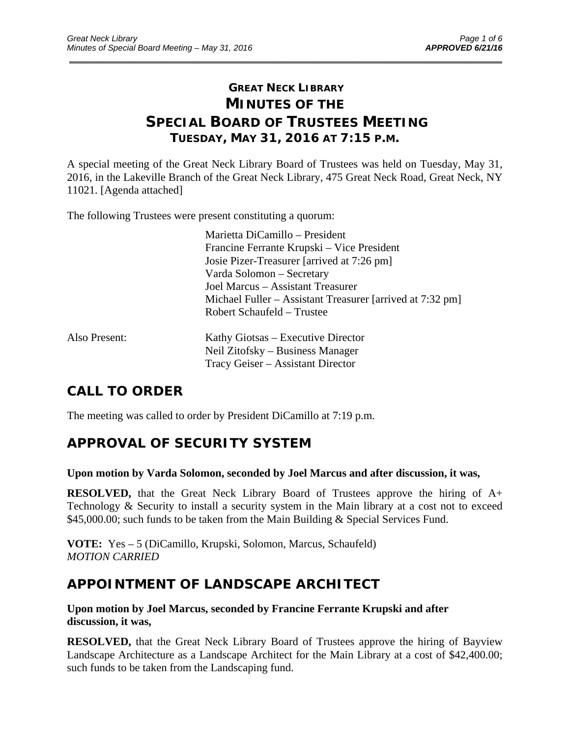# **GREAT NECK LIBRARY MINUTES OF THE SPECIAL BOARD OF TRUSTEES MEETING TUESDAY, MAY 31, 2016 AT 7:15 P.M.**

\_\_\_\_\_\_\_\_\_\_\_\_\_\_\_\_\_\_\_\_\_\_\_\_\_\_\_\_\_\_\_\_\_\_\_\_\_\_\_\_\_\_\_\_\_\_\_\_\_\_\_\_\_\_\_\_\_\_\_\_\_\_\_\_\_\_\_\_\_\_\_\_\_\_\_\_\_\_\_\_\_\_\_\_\_\_\_\_\_\_\_\_\_

A special meeting of the Great Neck Library Board of Trustees was held on Tuesday, May 31, 2016, in the Lakeville Branch of the Great Neck Library, 475 Great Neck Road, Great Neck, NY 11021. [Agenda attached]

The following Trustees were present constituting a quorum:

|               | Marietta DiCamillo – President                            |
|---------------|-----------------------------------------------------------|
|               | Francine Ferrante Krupski – Vice President                |
|               | Josie Pizer-Treasurer [arrived at 7:26 pm]                |
|               | Varda Solomon – Secretary                                 |
|               | Joel Marcus – Assistant Treasurer                         |
|               | Michael Fuller – Assistant Treasurer [arrived at 7:32 pm] |
|               | Robert Schaufeld – Trustee                                |
| Also Present: | Kathy Giotsas – Executive Director                        |
|               | Neil Zitofsky – Business Manager                          |
|               | Tracy Geiser – Assistant Director                         |

# **CALL TO ORDER**

The meeting was called to order by President DiCamillo at 7:19 p.m.

# **APPROVAL OF SECURITY SYSTEM**

#### **Upon motion by Varda Solomon, seconded by Joel Marcus and after discussion, it was,**

**RESOLVED,** that the Great Neck Library Board of Trustees approve the hiring of A+ Technology & Security to install a security system in the Main library at a cost not to exceed \$45,000.00; such funds to be taken from the Main Building & Special Services Fund.

**VOTE:** Yes – 5 (DiCamillo, Krupski, Solomon, Marcus, Schaufeld) *MOTION CARRIED* 

# **APPOINTMENT OF LANDSCAPE ARCHITECT**

**Upon motion by Joel Marcus, seconded by Francine Ferrante Krupski and after discussion, it was,** 

**RESOLVED,** that the Great Neck Library Board of Trustees approve the hiring of Bayview Landscape Architecture as a Landscape Architect for the Main Library at a cost of \$42,400.00; such funds to be taken from the Landscaping fund.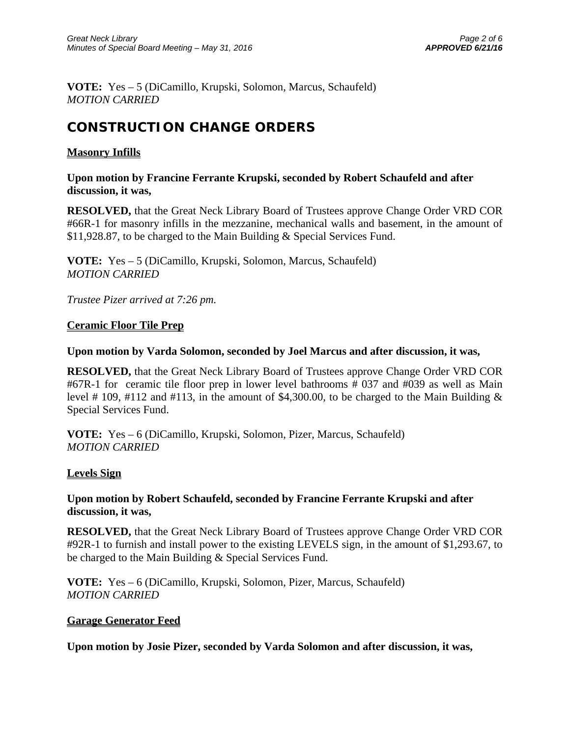**VOTE:** Yes – 5 (DiCamillo, Krupski, Solomon, Marcus, Schaufeld) *MOTION CARRIED* 

# **CONSTRUCTION CHANGE ORDERS**

#### **Masonry Infills**

**Upon motion by Francine Ferrante Krupski, seconded by Robert Schaufeld and after discussion, it was,** 

**RESOLVED,** that the Great Neck Library Board of Trustees approve Change Order VRD COR #66R-1 for masonry infills in the mezzanine, mechanical walls and basement, in the amount of \$11,928.87, to be charged to the Main Building & Special Services Fund.

**VOTE:** Yes – 5 (DiCamillo, Krupski, Solomon, Marcus, Schaufeld) *MOTION CARRIED* 

*Trustee Pizer arrived at 7:26 pm.* 

#### **Ceramic Floor Tile Prep**

#### **Upon motion by Varda Solomon, seconded by Joel Marcus and after discussion, it was,**

**RESOLVED,** that the Great Neck Library Board of Trustees approve Change Order VRD COR #67R-1 for ceramic tile floor prep in lower level bathrooms # 037 and #039 as well as Main level # 109, #112 and #113, in the amount of \$4,300.00, to be charged to the Main Building  $\&$ Special Services Fund.

**VOTE:** Yes – 6 (DiCamillo, Krupski, Solomon, Pizer, Marcus, Schaufeld) *MOTION CARRIED* 

#### **Levels Sign**

#### **Upon motion by Robert Schaufeld, seconded by Francine Ferrante Krupski and after discussion, it was,**

**RESOLVED,** that the Great Neck Library Board of Trustees approve Change Order VRD COR #92R-1 to furnish and install power to the existing LEVELS sign, in the amount of \$1,293.67, to be charged to the Main Building & Special Services Fund.

**VOTE:** Yes – 6 (DiCamillo, Krupski, Solomon, Pizer, Marcus, Schaufeld) *MOTION CARRIED* 

#### **Garage Generator Feed**

**Upon motion by Josie Pizer, seconded by Varda Solomon and after discussion, it was,**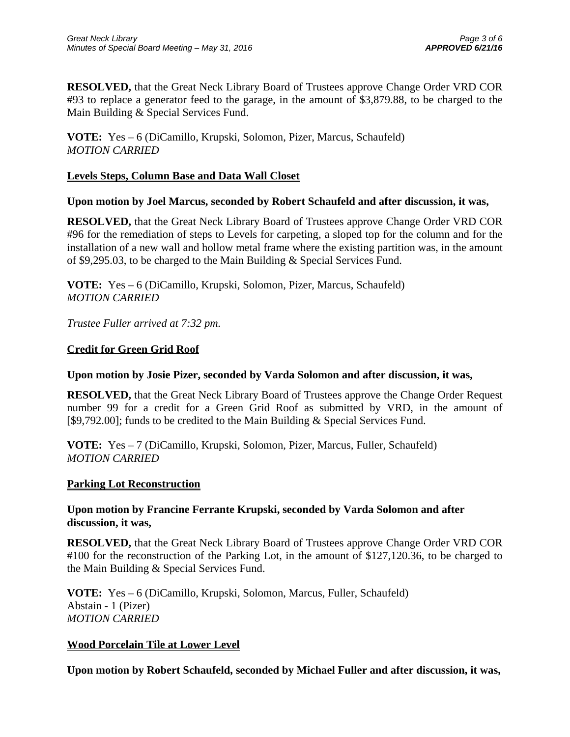**RESOLVED,** that the Great Neck Library Board of Trustees approve Change Order VRD COR #93 to replace a generator feed to the garage, in the amount of \$3,879.88, to be charged to the Main Building & Special Services Fund.

**VOTE:** Yes – 6 (DiCamillo, Krupski, Solomon, Pizer, Marcus, Schaufeld) *MOTION CARRIED* 

#### **Levels Steps, Column Base and Data Wall Closet**

#### **Upon motion by Joel Marcus, seconded by Robert Schaufeld and after discussion, it was,**

**RESOLVED,** that the Great Neck Library Board of Trustees approve Change Order VRD COR #96 for the remediation of steps to Levels for carpeting, a sloped top for the column and for the installation of a new wall and hollow metal frame where the existing partition was, in the amount of \$9,295.03, to be charged to the Main Building & Special Services Fund.

**VOTE:** Yes – 6 (DiCamillo, Krupski, Solomon, Pizer, Marcus, Schaufeld) *MOTION CARRIED* 

*Trustee Fuller arrived at 7:32 pm.* 

#### **Credit for Green Grid Roof**

#### **Upon motion by Josie Pizer, seconded by Varda Solomon and after discussion, it was,**

**RESOLVED,** that the Great Neck Library Board of Trustees approve the Change Order Request number 99 for a credit for a Green Grid Roof as submitted by VRD, in the amount of [\$9,792.00]; funds to be credited to the Main Building & Special Services Fund.

**VOTE:** Yes – 7 (DiCamillo, Krupski, Solomon, Pizer, Marcus, Fuller, Schaufeld) *MOTION CARRIED* 

#### **Parking Lot Reconstruction**

#### **Upon motion by Francine Ferrante Krupski, seconded by Varda Solomon and after discussion, it was,**

**RESOLVED,** that the Great Neck Library Board of Trustees approve Change Order VRD COR #100 for the reconstruction of the Parking Lot, in the amount of \$127,120.36, to be charged to the Main Building & Special Services Fund.

**VOTE:** Yes – 6 (DiCamillo, Krupski, Solomon, Marcus, Fuller, Schaufeld) Abstain - 1 (Pizer) *MOTION CARRIED* 

#### **Wood Porcelain Tile at Lower Level**

**Upon motion by Robert Schaufeld, seconded by Michael Fuller and after discussion, it was,**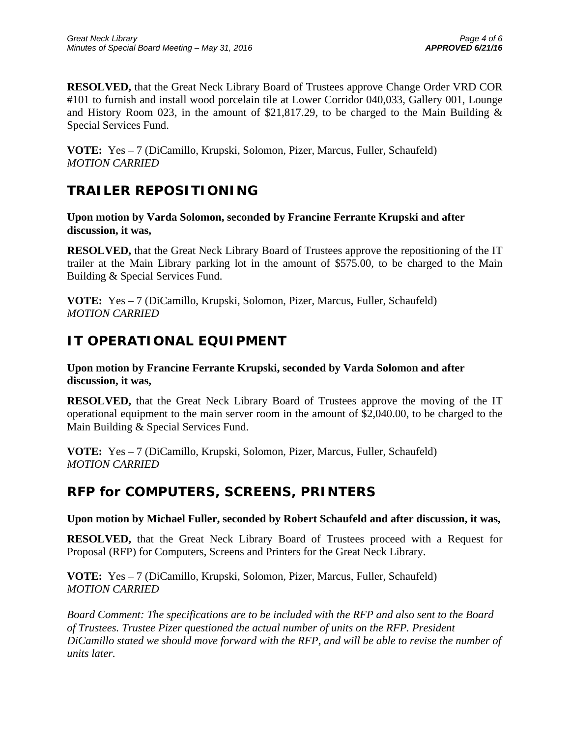**RESOLVED,** that the Great Neck Library Board of Trustees approve Change Order VRD COR #101 to furnish and install wood porcelain tile at Lower Corridor 040,033, Gallery 001, Lounge and History Room 023, in the amount of \$21,817.29, to be charged to the Main Building & Special Services Fund.

**VOTE:** Yes – 7 (DiCamillo, Krupski, Solomon, Pizer, Marcus, Fuller, Schaufeld) *MOTION CARRIED* 

### **TRAILER REPOSITIONING**

**Upon motion by Varda Solomon, seconded by Francine Ferrante Krupski and after discussion, it was,** 

**RESOLVED,** that the Great Neck Library Board of Trustees approve the repositioning of the IT trailer at the Main Library parking lot in the amount of \$575.00, to be charged to the Main Building & Special Services Fund.

**VOTE:** Yes – 7 (DiCamillo, Krupski, Solomon, Pizer, Marcus, Fuller, Schaufeld) *MOTION CARRIED* 

# **IT OPERATIONAL EQUIPMENT**

**Upon motion by Francine Ferrante Krupski, seconded by Varda Solomon and after discussion, it was,** 

**RESOLVED,** that the Great Neck Library Board of Trustees approve the moving of the IT operational equipment to the main server room in the amount of \$2,040.00, to be charged to the Main Building & Special Services Fund.

**VOTE:** Yes – 7 (DiCamillo, Krupski, Solomon, Pizer, Marcus, Fuller, Schaufeld) *MOTION CARRIED* 

### **RFP for COMPUTERS, SCREENS, PRINTERS**

**Upon motion by Michael Fuller, seconded by Robert Schaufeld and after discussion, it was,** 

**RESOLVED,** that the Great Neck Library Board of Trustees proceed with a Request for Proposal (RFP) for Computers, Screens and Printers for the Great Neck Library.

**VOTE:** Yes – 7 (DiCamillo, Krupski, Solomon, Pizer, Marcus, Fuller, Schaufeld) *MOTION CARRIED* 

*Board Comment: The specifications are to be included with the RFP and also sent to the Board of Trustees. Trustee Pizer questioned the actual number of units on the RFP. President DiCamillo stated we should move forward with the RFP, and will be able to revise the number of units later.*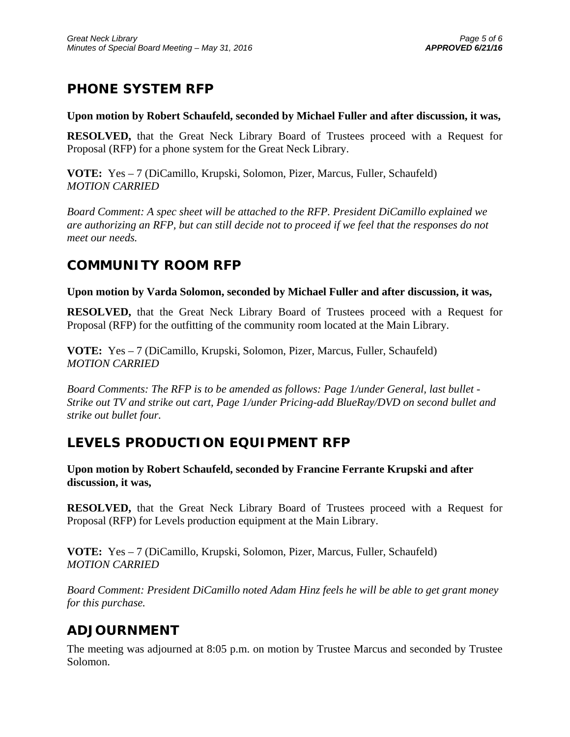# **PHONE SYSTEM RFP**

#### **Upon motion by Robert Schaufeld, seconded by Michael Fuller and after discussion, it was,**

**RESOLVED,** that the Great Neck Library Board of Trustees proceed with a Request for Proposal (RFP) for a phone system for the Great Neck Library.

**VOTE:** Yes – 7 (DiCamillo, Krupski, Solomon, Pizer, Marcus, Fuller, Schaufeld) *MOTION CARRIED* 

*Board Comment: A spec sheet will be attached to the RFP. President DiCamillo explained we are authorizing an RFP, but can still decide not to proceed if we feel that the responses do not meet our needs.* 

### **COMMUNITY ROOM RFP**

**Upon motion by Varda Solomon, seconded by Michael Fuller and after discussion, it was,** 

**RESOLVED,** that the Great Neck Library Board of Trustees proceed with a Request for Proposal (RFP) for the outfitting of the community room located at the Main Library.

**VOTE:** Yes – 7 (DiCamillo, Krupski, Solomon, Pizer, Marcus, Fuller, Schaufeld) *MOTION CARRIED* 

*Board Comments: The RFP is to be amended as follows: Page 1/under General, last bullet - Strike out TV and strike out cart, Page 1/under Pricing-add BlueRay/DVD on second bullet and strike out bullet four.* 

### **LEVELS PRODUCTION EQUIPMENT RFP**

**Upon motion by Robert Schaufeld, seconded by Francine Ferrante Krupski and after discussion, it was,** 

**RESOLVED,** that the Great Neck Library Board of Trustees proceed with a Request for Proposal (RFP) for Levels production equipment at the Main Library.

**VOTE:** Yes – 7 (DiCamillo, Krupski, Solomon, Pizer, Marcus, Fuller, Schaufeld) *MOTION CARRIED* 

*Board Comment: President DiCamillo noted Adam Hinz feels he will be able to get grant money for this purchase.* 

### **ADJOURNMENT**

The meeting was adjourned at 8:05 p.m. on motion by Trustee Marcus and seconded by Trustee Solomon.